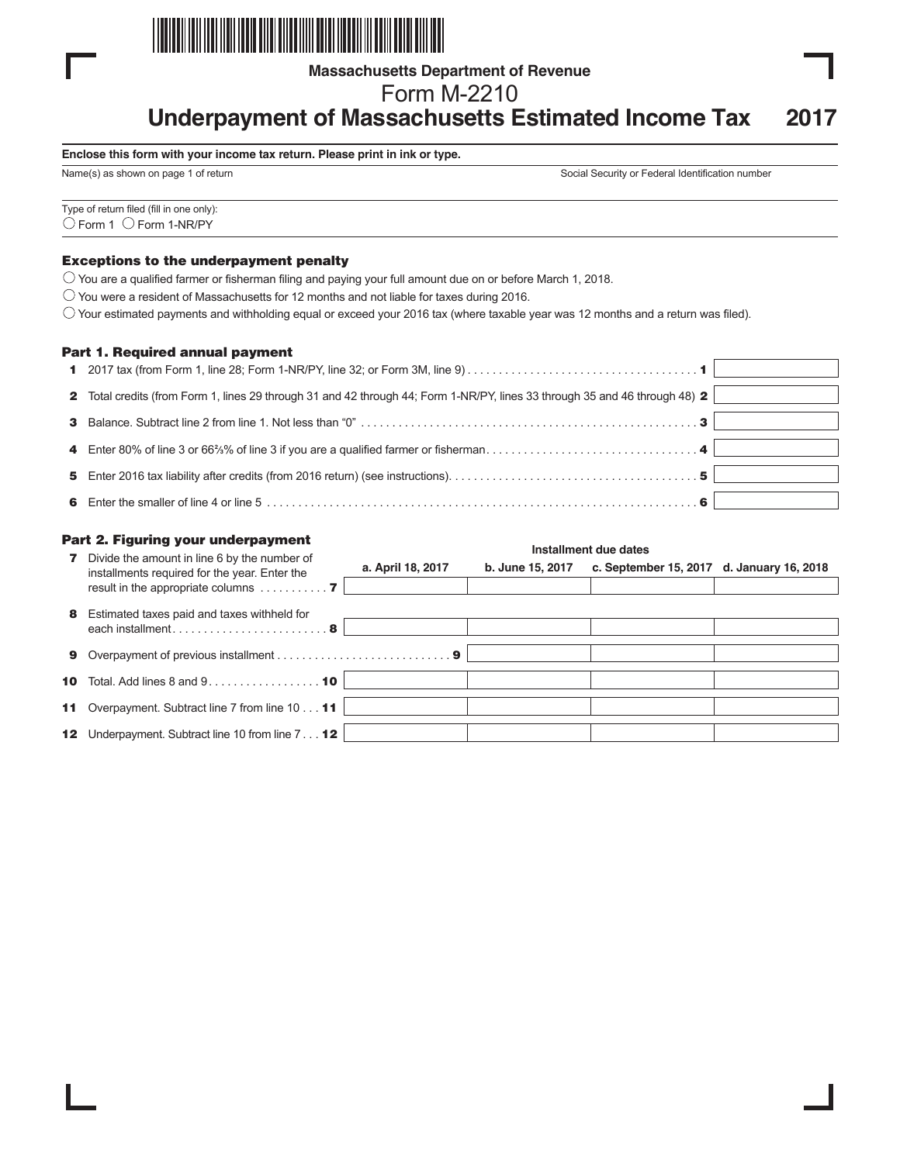

**Massachusetts Department of Revenue**

Form M-2210

# **Underpayment of Massachusetts Estimated Income Tax 2017**

#### **Enclose this form with your income tax return. Please print in ink or type.**

Name(s) as shown on page 1 of return Social Security or Federal Identification number

Type of return filed (fill in one only):  $\bigcirc$  Form 1  $\bigcirc$  Form 1-NR/PY

#### Exceptions to the underpayment penalty

 $\bigcirc$  You are a qualified farmer or fisherman filing and paying your full amount due on or before March 1, 2018.

 $\bigcirc$  You were a resident of Massachusetts for 12 months and not liable for taxes during 2016.

 $\circlearrowright$  Your estimated payments and withholding equal or exceed your 2016 tax (where taxable year was 12 months and a return was filed).

#### Part 1. Required annual payment

| 1 2017 tax (from Form 1, line 28; Form 1-NR/PY, line 32; or Form 3M, line 9) $\ldots$ $\ldots$ $\ldots$ $\ldots$ $\ldots$ $\ldots$ $\ldots$ $\ldots$ $\ldots$ $\ldots$ |  |
|------------------------------------------------------------------------------------------------------------------------------------------------------------------------|--|
| 2 Total credits (from Form 1, lines 29 through 31 and 42 through 44; Form 1-NR/PY, lines 33 through 35 and 46 through 48) 2                                            |  |
|                                                                                                                                                                        |  |
|                                                                                                                                                                        |  |
|                                                                                                                                                                        |  |
|                                                                                                                                                                        |  |

|                 | Part 2. Figuring your underpayment                                                                                                                     | Installment due dates |                  |                                           |  |  |
|-----------------|--------------------------------------------------------------------------------------------------------------------------------------------------------|-----------------------|------------------|-------------------------------------------|--|--|
| 7               | Divide the amount in line 6 by the number of<br>installments required for the year. Enter the<br>result in the appropriate columns $\dots \dots \dots$ | a. April 18, 2017     | b. June 15, 2017 | c. September 15, 2017 d. January 16, 2018 |  |  |
| 8               | Estimated taxes paid and taxes withheld for<br>each installment8                                                                                       |                       |                  |                                           |  |  |
| 9               |                                                                                                                                                        |                       |                  |                                           |  |  |
|                 | <b>10</b> Total. Add lines 8 and $9 \ldots \ldots \ldots \ldots \ldots \ldots$                                                                         |                       |                  |                                           |  |  |
|                 | 11 Overpayment. Subtract line 7 from line 10 11                                                                                                        |                       |                  |                                           |  |  |
| 12 <sub>2</sub> | Underpayment. Subtract line 10 from line 7 12                                                                                                          |                       |                  |                                           |  |  |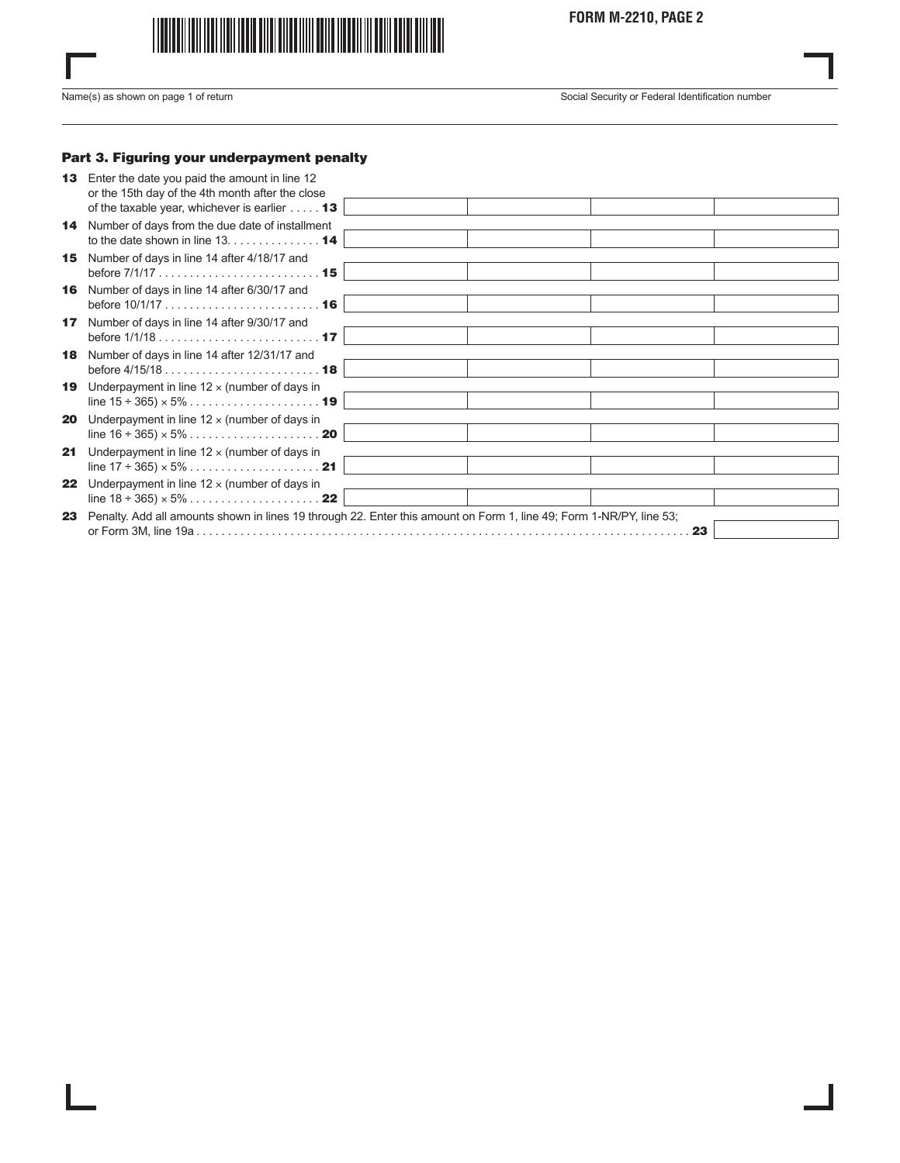

**FORM M-2210, PAGE 2**

I

Name(s) as shown on page 1 of return Social Security or Federal Identification number

## Part 3. Figuring your underpayment penalty

| 13 <sup>1</sup> | Enter the date you paid the amount in line 12<br>or the 15th day of the 4th month after the close                   |  |  |    |  |
|-----------------|---------------------------------------------------------------------------------------------------------------------|--|--|----|--|
|                 | of the taxable year, whichever is earlier $\dots$ 13                                                                |  |  |    |  |
|                 | <b>14</b> Number of days from the due date of installment                                                           |  |  |    |  |
|                 | to the date shown in line $13, \ldots, \ldots, \ldots, 14$                                                          |  |  |    |  |
| 15 <sub>1</sub> | Number of days in line 14 after 4/18/17 and                                                                         |  |  |    |  |
|                 | 16 Number of days in line 14 after 6/30/17 and                                                                      |  |  |    |  |
| 17 <sub>1</sub> | Number of days in line 14 after 9/30/17 and                                                                         |  |  |    |  |
|                 |                                                                                                                     |  |  |    |  |
| 18              | Number of days in line 14 after 12/31/17 and                                                                        |  |  |    |  |
|                 |                                                                                                                     |  |  |    |  |
| 19              | Underpayment in line $12 \times$ (number of days in                                                                 |  |  |    |  |
|                 |                                                                                                                     |  |  |    |  |
| 20              | Underpayment in line $12 \times$ (number of days in                                                                 |  |  |    |  |
|                 |                                                                                                                     |  |  |    |  |
| 21              | Underpayment in line $12 \times$ (number of days in                                                                 |  |  |    |  |
|                 | line $17 \div 365 \times 5\% \dots \dots \dots \dots \dots \dots \dots \cdot 21$                                    |  |  |    |  |
| 22              | Underpayment in line $12 \times$ (number of days in                                                                 |  |  |    |  |
|                 |                                                                                                                     |  |  |    |  |
| 23              | Penalty. Add all amounts shown in lines 19 through 22. Enter this amount on Form 1, line 49; Form 1-NR/PY, line 53; |  |  |    |  |
|                 |                                                                                                                     |  |  | 23 |  |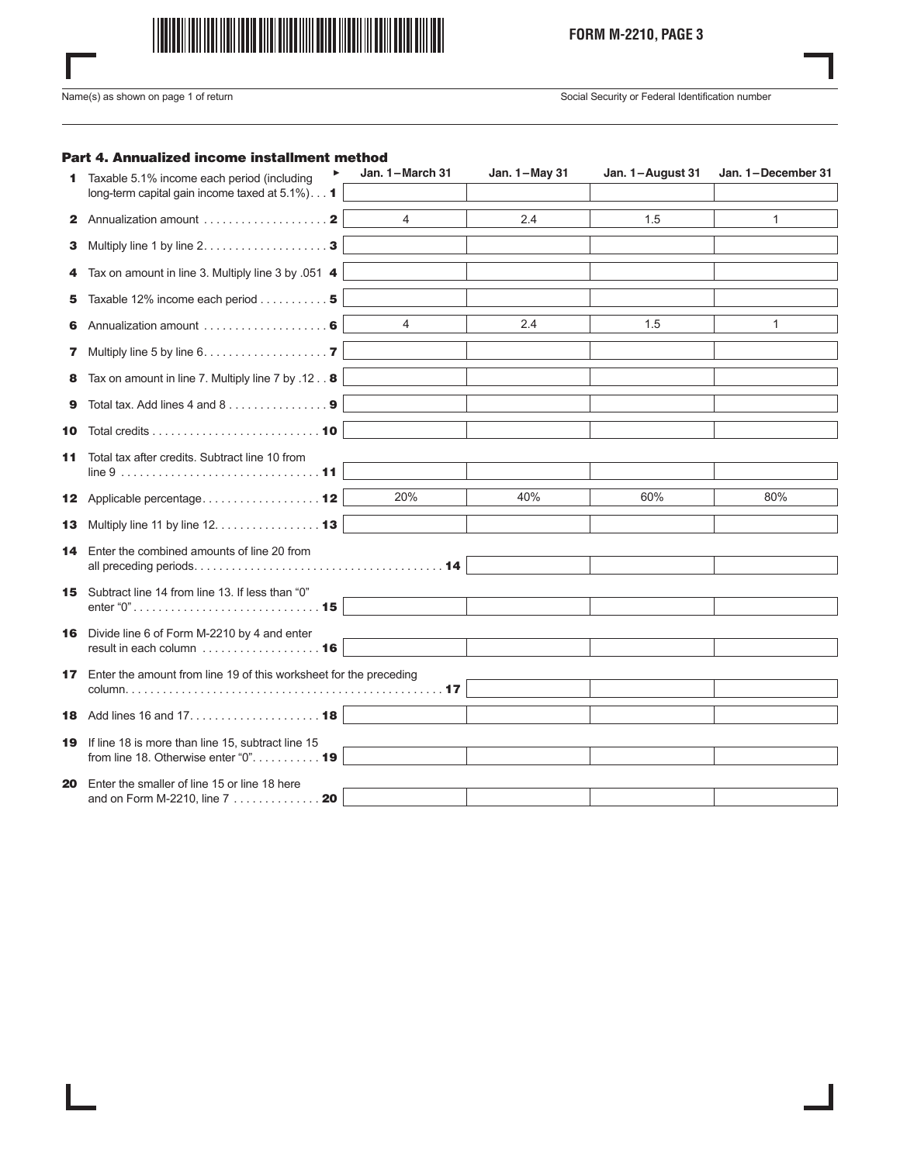

I

Name(s) as shown on page 1 of return Social Security or Federal Identification number

## Part 4. Annualized income installment method

|    | ▶<br>Taxable 5.1% income each period (including                                                  | Jan. 1-March 31 | Jan. 1-May 31 | Jan. 1-August 31 | Jan. 1-December 31 |
|----|--------------------------------------------------------------------------------------------------|-----------------|---------------|------------------|--------------------|
|    | long-term capital gain income taxed at 5.1%)1                                                    |                 |               |                  |                    |
|    |                                                                                                  | $\overline{4}$  | 2.4           | 1.5              | 1                  |
| З. | Multiply line 1 by line $2, \ldots, \ldots, \ldots, \ldots, \mathbf{3}$                          |                 |               |                  |                    |
| 4  | Tax on amount in line 3. Multiply line 3 by .051 4                                               |                 |               |                  |                    |
| 5. | Taxable 12% income each period 5                                                                 |                 |               |                  |                    |
| 6. |                                                                                                  | $\overline{4}$  | 2.4           | 1.5              | 1                  |
| 7. | Multiply line 5 by line 6. 7                                                                     |                 |               |                  |                    |
| 8  | Tax on amount in line 7. Multiply line 7 by .12 8                                                |                 |               |                  |                    |
| 9  | Total tax. Add lines 4 and 8 9                                                                   |                 |               |                  |                    |
| 10 |                                                                                                  |                 |               |                  |                    |
| 11 | Total tax after credits. Subtract line 10 from                                                   |                 |               |                  |                    |
|    | 12 Applicable percentage 12                                                                      | 20%             | 40%           | 60%              | 80%                |
|    | 13 Multiply line 11 by line 12. 13                                                               |                 |               |                  |                    |
| 14 | Enter the combined amounts of line 20 from                                                       |                 |               |                  |                    |
|    |                                                                                                  |                 |               |                  |                    |
|    | 15 Subtract line 14 from line 13. If less than "0"                                               |                 |               |                  |                    |
|    | 16 Divide line 6 of Form M-2210 by 4 and enter                                                   |                 |               |                  |                    |
|    | result in each column  16                                                                        |                 |               |                  |                    |
|    | <b>17</b> Enter the amount from line 19 of this worksheet for the preceding                      |                 |               |                  |                    |
|    |                                                                                                  |                 |               |                  |                    |
|    |                                                                                                  |                 |               |                  |                    |
|    | 19 If line 18 is more than line 15, subtract line 15<br>from line 18. Otherwise enter " $0$ " 19 |                 |               |                  |                    |
|    |                                                                                                  |                 |               |                  |                    |
| 20 | Enter the smaller of line 15 or line 18 here                                                     |                 |               |                  |                    |